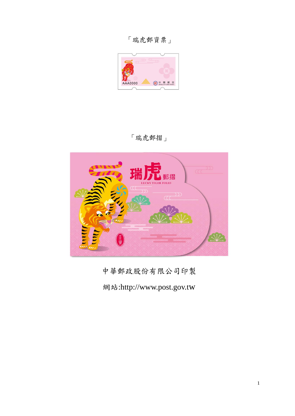「瑞虎郵資票」



「瑞虎郵摺」



中華郵政股份有限公司印製

網站:http://www.post.gov.tw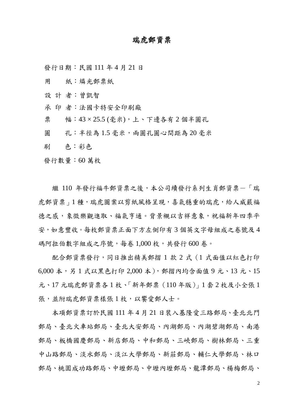## 瑞虎郵資票

發行日期:民國 111 年 4 月 21 日

用 紙:燐光郵票紙

設 計 者:曾凱智

承 印 者:法國卡特安全印刷廠

票 幅: 43 × 25.5 (毫米),上、下邊各有 2 個半圓孔

圓 孔:半徑為1.5 毫米,兩圓孔圓心間距為20 毫米

刷 色:彩色

發行數量:60 萬枚

繼 110 年發行福牛郵資票之後,本公司續發行系列生肖郵資票一「瑞 虎郵資票」1種,瑞虎圖案以剪紙風格呈現,喜氣穩重的瑞虎,給人威嚴福 德之感,象徵樂觀進取、福氣亨通。背景襯以吉祥意象,祝福新年四季平 安,如意豐收。每枚郵資票正面下方左側印有 3 個英文字母組成之卷號及 4 碼阿拉伯數字組成之序號,每卷 1,000 枚,共發行 600 卷。

配合郵資票發行,同日推出精美郵摺 1 款 2 式(1 式面值以紅色打印 6,000 本,另 1 式以黑色打印 2,000 本),郵摺內均含面值 9 元、13 元、15 元、17 元瑞虎郵資票各 1 枚、「新年郵票(110 年版)」1 套 2 枚及小全張 1 張,並附瑞虎郵資票樣張1枚,以饗愛郵人士。

本項郵資票訂於民國 111 年 4 月 21 日裝入基隆愛三路郵局、臺北北門 郵局、臺北火車站郵局、臺北大安郵局、內湖郵局、內湖碧湖郵局、南港 郵局、板橋國慶郵局、新店郵局、中和郵局、三峽郵局、樹林郵局、三重 中山路郵局、淡水郵局、淡江大學郵局、新莊郵局、輔仁大學郵局、林口 郵局、桃園成功路郵局、中壢郵局、中壢內壢郵局、龍潭郵局、楊梅郵局、

2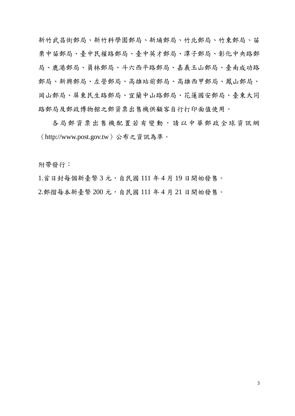新竹武昌街郵局、新竹科學園郵局、新埔郵局、竹北郵局、竹東郵局、苗 栗中苗郵局、臺中民權路郵局、臺中英才郵局、潭子郵局、彰化中央路郵 局、鹿港郵局、員林郵局、斗六西平路郵局、嘉義玉山郵局、臺南成功路 郵局、新興郵局、左營郵局、高雄站前郵局、高雄西甲郵局、鳳山郵局、 岡山郵局、屏東民生路郵局、宜蘭中山路郵局、花蓮國安郵局、臺東大同 路郵局及郵政博物館之郵資票出售機供顧客自行打印面值使用。

各局郵資票出售機配置若有變動,請以中華郵政全球資訊網 (http://www.post.gov.tw)公布之資訊為準。

附帶發行:

1.首日封每個新臺幣 3 元,自民國 111 年 4 月 19 日開始發售。 2.郵摺每本新臺幣 200 元,自民國 111 年 4 月 21 日開始發售。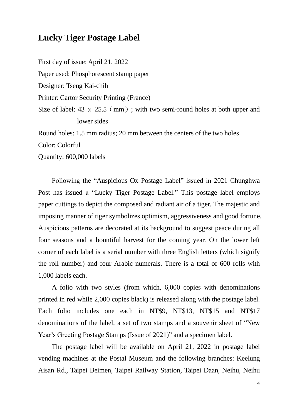## **Lucky Tiger Postage Label**

First day of issue: April 21, 2022 Paper used: Phosphorescent stamp paper Designer: Tseng Kai-chih Printer: Cartor Security Printing (France) Size of label:  $43 \times 25.5 \, \text{(mm)}$ ; with two semi-round holes at both upper and lower sides Round holes: 1.5 mm radius; 20 mm between the centers of the two holes

Color: Colorful

Quantity: 600,000 labels

Following the "Auspicious Ox Postage Label" issued in 2021 Chunghwa Post has issued a "Lucky Tiger Postage Label." This postage label employs paper cuttings to depict the composed and radiant air of a tiger. The majestic and imposing manner of tiger symbolizes optimism, aggressiveness and good fortune. Auspicious patterns are decorated at its background to suggest peace during all four seasons and a bountiful harvest for the coming year. On the lower left corner of each label is a serial number with three English letters (which signify the roll number) and four Arabic numerals. There is a total of 600 rolls with 1,000 labels each.

A folio with two styles (from which, 6,000 copies with denominations printed in red while 2,000 copies black) is released along with the postage label. Each folio includes one each in NT\$9, NT\$13, NT\$15 and NT\$17 denominations of the label, a set of two stamps and a souvenir sheet of "New Year's Greeting Postage Stamps (Issue of 2021)" and a specimen label.

The postage label will be available on April 21, 2022 in postage label vending machines at the Postal Museum and the following branches: Keelung Aisan Rd., Taipei Beimen, Taipei Railway Station, Taipei Daan, Neihu, Neihu